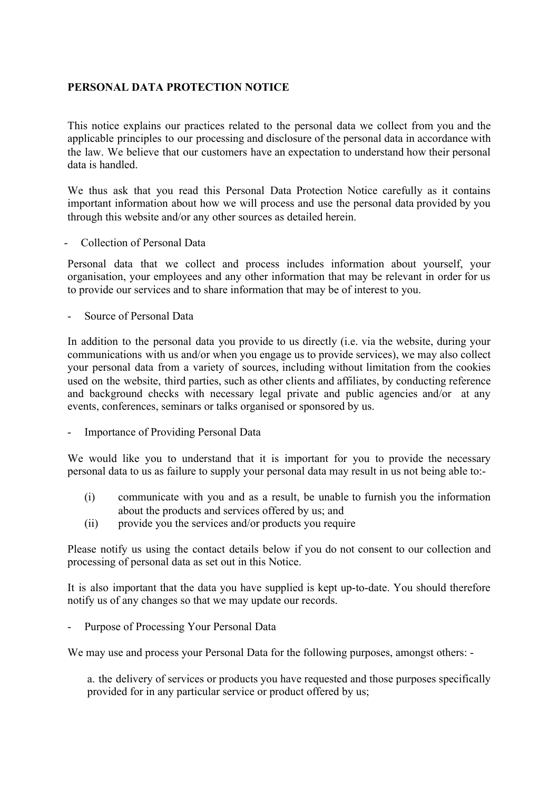## **PERSONAL DATA PROTECTION NOTICE**

This notice explains our practices related to the personal data we collect from you and the applicable principles to our processing and disclosure of the personal data in accordance with the law. We believe that our customers have an expectation to understand how their personal data is handled.

We thus ask that you read this Personal Data Protection Notice carefully as it contains important information about how we will process and use the personal data provided by you through this website and/or any other sources as detailed herein.

- Collection of Personal Data

Personal data that we collect and process includes information about yourself, your organisation, your employees and any other information that may be relevant in order for us to provide our services and to share information that may be of interest to you.

- Source of Personal Data

In addition to the personal data you provide to us directly (i.e. via the website, during your communications with us and/or when you engage us to provide services), we may also collect your personal data from a variety of sources, including without limitation from the cookies used on the website, third parties, such as other clients and affiliates, by conducting reference and background checks with necessary legal private and public agencies and/or at any events, conferences, seminars or talks organised or sponsored by us.

Importance of Providing Personal Data

We would like you to understand that it is important for you to provide the necessary personal data to us as failure to supply your personal data may result in us not being able to:-

- (i) communicate with you and as a result, be unable to furnish you the information about the products and services offered by us; and
- (ii) provide you the services and/or products you require

Please notify us using the contact details below if you do not consent to our collection and processing of personal data as set out in this Notice.

It is also important that the data you have supplied is kept up-to-date. You should therefore notify us of any changes so that we may update our records.

Purpose of Processing Your Personal Data

We may use and process your Personal Data for the following purposes, amongst others: -

a. the delivery of services or products you have requested and those purposes specifically provided for in any particular service or product offered by us;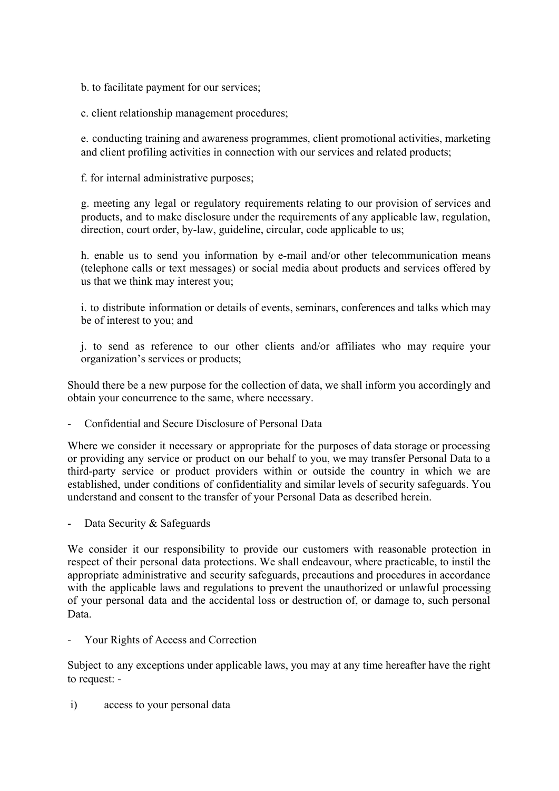b. to facilitate payment for our services;

c. client relationship management procedures;

e. conducting training and awareness programmes, client promotional activities, marketing and client profiling activities in connection with our services and related products;

f. for internal administrative purposes;

g. meeting any legal or regulatory requirements relating to our provision of services and products, and to make disclosure under the requirements of any applicable law, regulation, direction, court order, by-law, guideline, circular, code applicable to us;

h. enable us to send you information by e-mail and/or other telecommunication means (telephone calls or text messages) or social media about products and services offered by us that we think may interest you;

i. to distribute information or details of events, seminars, conferences and talks which may be of interest to you; and

j. to send as reference to our other clients and/or affiliates who may require your organization's services or products;

Should there be a new purpose for the collection of data, we shall inform you accordingly and obtain your concurrence to the same, where necessary.

- Confidential and Secure Disclosure of Personal Data

Where we consider it necessary or appropriate for the purposes of data storage or processing or providing any service or product on our behalf to you, we may transfer Personal Data to a third-party service or product providers within or outside the country in which we are established, under conditions of confidentiality and similar levels of security safeguards. You understand and consent to the transfer of your Personal Data as described herein.

- Data Security & Safeguards

We consider it our responsibility to provide our customers with reasonable protection in respect of their personal data protections. We shall endeavour, where practicable, to instil the appropriate administrative and security safeguards, precautions and procedures in accordance with the applicable laws and regulations to prevent the unauthorized or unlawful processing of your personal data and the accidental loss or destruction of, or damage to, such personal Data.

Your Rights of Access and Correction

Subject to any exceptions under applicable laws, you may at any time hereafter have the right to request: -

i) access to your personal data